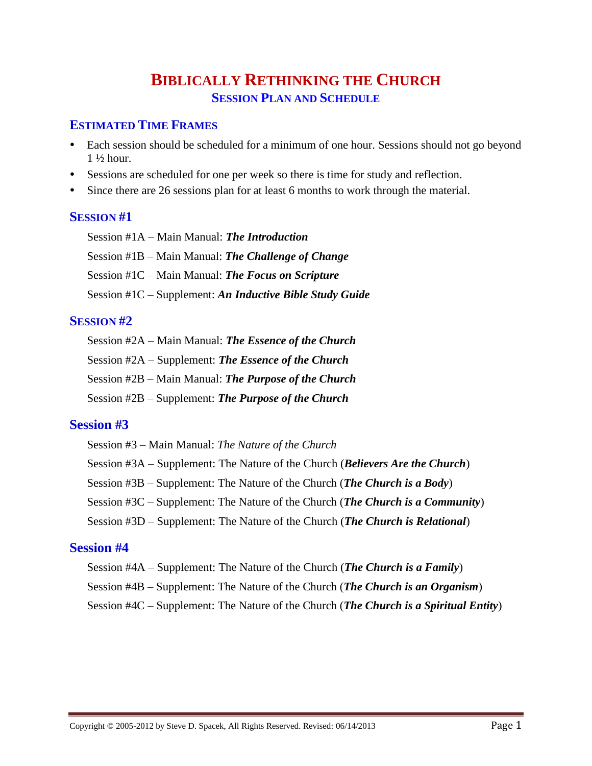# **BIBLICALLY RETHINKING THE CHURCH SESSION PLAN AND SCHEDULE**

# **ESTIMATED TIME FRAMES**

- Each session should be scheduled for a minimum of one hour. Sessions should not go beyond  $1\frac{1}{2}$  hour.
- Sessions are scheduled for one per week so there is time for study and reflection.
- Since there are 26 sessions plan for at least 6 months to work through the material.

# **SESSION #1**

Session #1A – Main Manual: *The Introduction* Session #1B – Main Manual: *The Challenge of Change* Session #1C – Main Manual: *The Focus on Scripture* Session #1C – Supplement: *An Inductive Bible Study Guide*

# **SESSION #2**

Session #2A – Main Manual: *The Essence of the Church*

Session #2A – Supplement: *The Essence of the Church*

Session #2B – Main Manual: *The Purpose of the Church*

Session #2B – Supplement: *The Purpose of the Church*

# **Session #3**

Session #3 – Main Manual: *The Nature of the Church* Session #3A – Supplement: The Nature of the Church (*Believers Are the Church*)

Session #3B – Supplement: The Nature of the Church (*The Church is a Body*)

Session #3C – Supplement: The Nature of the Church (*The Church is a Community*)

Session #3D – Supplement: The Nature of the Church (*The Church is Relational*)

# **Session #4**

Session #4A – Supplement: The Nature of the Church (*The Church is a Family*)

Session #4B – Supplement: The Nature of the Church (*The Church is an Organism*)

Session #4C – Supplement: The Nature of the Church (*The Church is a Spiritual Entity*)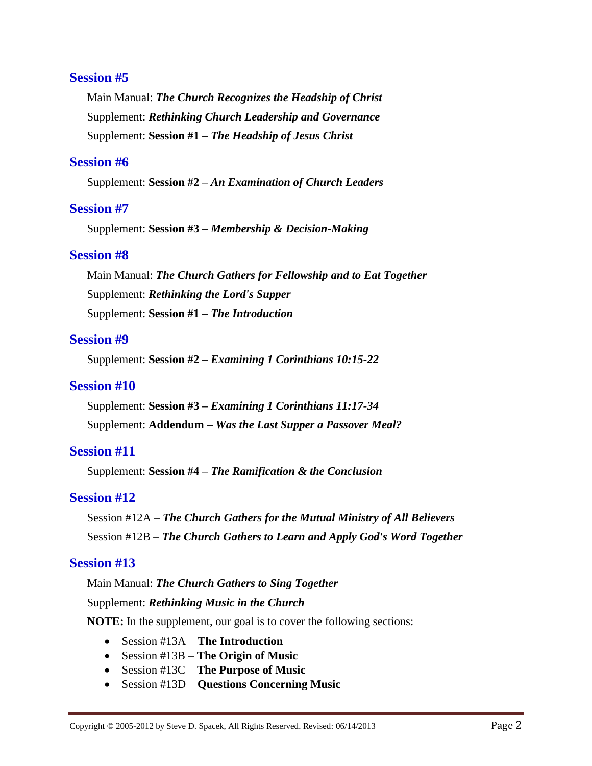#### **Session #5**

Main Manual: *The Church Recognizes the Headship of Christ* Supplement: *Rethinking Church Leadership and Governance* Supplement: **Session #1 –** *The Headship of Jesus Christ*

#### **Session #6**

Supplement: **Session #2** *– An Examination of Church Leaders*

#### **Session #7**

Supplement: **Session #3** *– Membership & Decision-Making*

#### **Session #8**

Main Manual: *The Church Gathers for Fellowship and to Eat Together* Supplement: *Rethinking the Lord's Supper* Supplement: **Session #1 –** *The Introduction*

# **Session #9**

Supplement: **Session #2** *– Examining 1 Corinthians 10:15-22*

#### **Session #10**

Supplement: **Session #3** *– Examining 1 Corinthians 11:17-34* Supplement: **Addendum –** *Was the Last Supper a Passover Meal?*

# **Session #11**

Supplement: **Session #4** *– The Ramification & the Conclusion*

## **Session #12**

Session #12A – *The Church Gathers for the Mutual Ministry of All Believers* Session #12B – *The Church Gathers to Learn and Apply God's Word Together*

## **Session #13**

Main Manual: *The Church Gathers to Sing Together* Supplement: *Rethinking Music in the Church* **NOTE:** In the supplement, our goal is to cover the following sections:

- Session #13A **The Introduction**
- Session #13B **The Origin of Music**
- Session #13C **The Purpose of Music**
- Session #13D **Questions Concerning Music**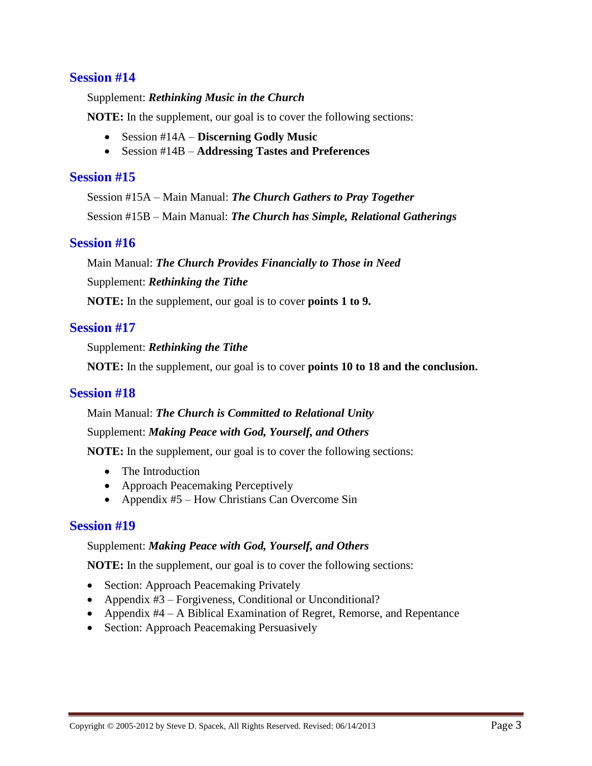# **Session #14**

#### Supplement: *Rethinking Music in the Church*

**NOTE:** In the supplement, our goal is to cover the following sections:

- Session #14A **Discerning Godly Music**
- Session #14B **Addressing Tastes and Preferences**

#### **Session #15**

Session #15A – Main Manual: *The Church Gathers to Pray Together*

Session #15B – Main Manual: *The Church has Simple, Relational Gatherings*

## **Session #16**

Main Manual: *The Church Provides Financially to Those in Need* Supplement: *Rethinking the Tithe*

**NOTE:** In the supplement, our goal is to cover **points 1 to 9.**

## **Session #17**

#### Supplement: *Rethinking the Tithe*

**NOTE:** In the supplement, our goal is to cover **points 10 to 18 and the conclusion.**

#### **Session #18**

Main Manual: *The Church is Committed to Relational Unity*

Supplement: *Making Peace with God, Yourself, and Others*

**NOTE:** In the supplement, our goal is to cover the following sections:

- The Introduction
- Approach Peacemaking Perceptively
- Appendix #5 How Christians Can Overcome Sin

## **Session #19**

#### Supplement: *Making Peace with God, Yourself, and Others*

**NOTE:** In the supplement, our goal is to cover the following sections:

- Section: Approach Peacemaking Privately
- Appendix #3 Forgiveness, Conditional or Unconditional?
- Appendix #4 A Biblical Examination of Regret, Remorse, and Repentance
- Section: Approach Peacemaking Persuasively